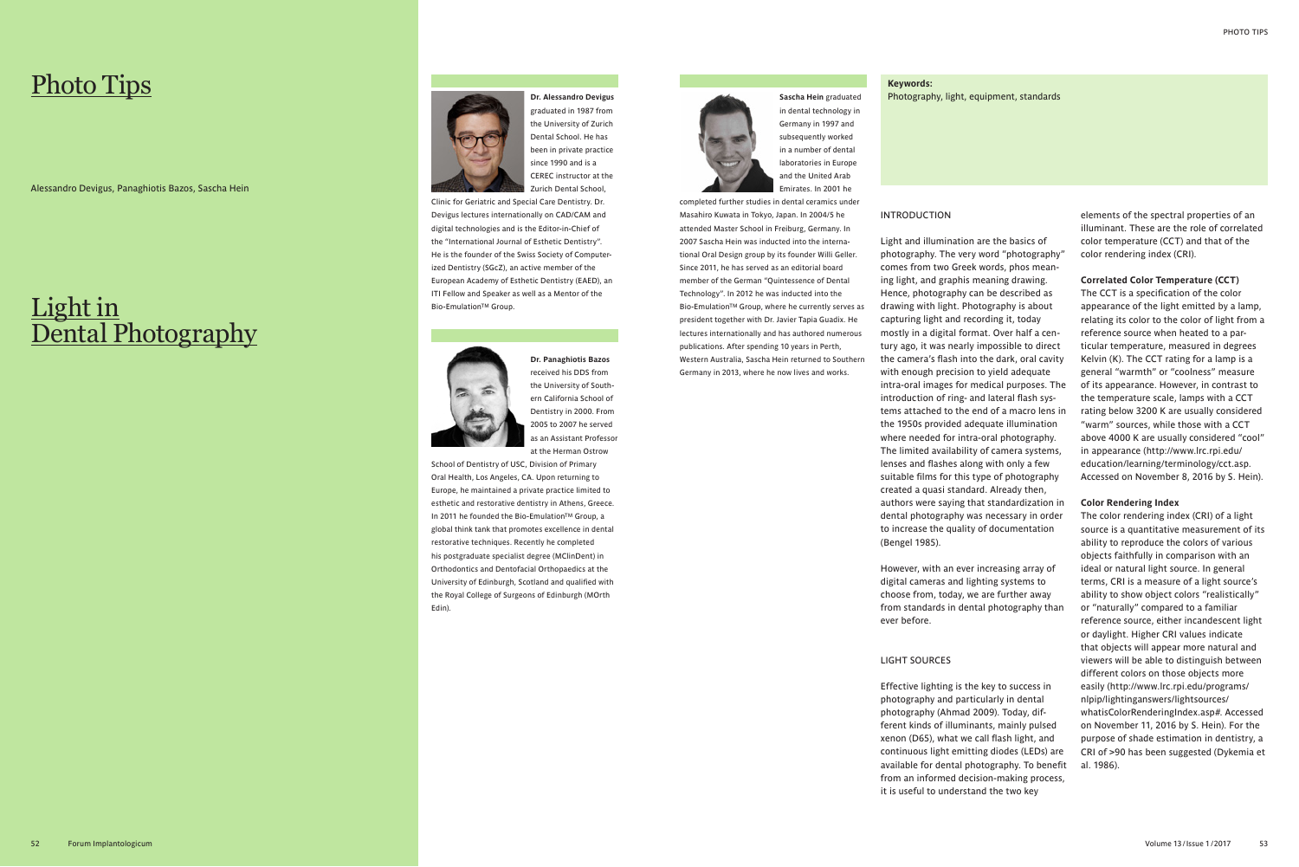**Dr. Panaghiotis Bazos**  received his DDS from the University of Southern California School of Dentistry in 2000. From 2005 to 2007 he served as an Assistant Professor at the Herman Ostrow

School of Dentistry of USC, Division of Primary Oral Health, Los Angeles, CA. Upon returning to Europe, he maintained a private practice limited to esthetic and restorative dentistry in Athens, Greece. In 2011 he founded the Bio-Emulation™ Group, a global think tank that promotes excellence in dental restorative techniques. Recently he completed his postgraduate specialist degree (MClinDent) in Orthodontics and Dentofacial Orthopaedics at the University of Edinburgh, Scotland and qualified with the Royal College of Surgeons of Edinburgh (MOrth Edin).

**Sascha Hein** graduated in dental technology in Germany in 1997 and subsequently worked in a number of dental laboratories in Europe and the United Arab Emirates. In 2001 he

completed further studies in dental ceramics under Masahiro Kuwata in Tokyo, Japan. In 2004/5 he attended Master School in Freiburg, Germany. In 2007 Sascha Hein was inducted into the international Oral Design group by its founder Willi Geller. Since 2011, he has served as an editorial board member of the German "Quintessence of Dental Technology". In 2012 he was inducted into the Bio-EmulationTM Group, where he currently serves as president together with Dr. Javier Tapia Guadix. He lectures internationally and has authored numerous publications. After spending 10 years in Perth, Western Australia, Sascha Hein returned to Southern Germany in 2013, where he now lives and works.

**Dr. Alessandro Devigus** graduated in 1987 from the University of Zurich Dental School. He has been in private practice since 1990 and is a CEREC instructor at the Zurich Dental School,

Clinic for Geriatric and Special Care Dentistry. Dr. Devigus lectures internationally on CAD/CAM and digital technologies and is the Editor-in-Chief of the "International Journal of Esthetic Dentistry". He is the founder of the Swiss Society of Computerized Dentistry (SGcZ), an active member of the European Academy of Esthetic Dentistry (EAED), an ITI Fellow and Speaker as well as a Mentor of the Bio-EmulationTM Group.



#### INTRODUCTION

## Light in Dental Photography



Light and illumination are the basics of photography. The very word "photography" comes from two Greek words, phos meaning light, and graphis meaning drawing. Hence, photography can be described as drawing with light. Photography is about capturing light and recording it, today mostly in a digital format. Over half a century ago, it was nearly impossible to direct the camera's flash into the dark, oral cavity with enough precision to yield adequate intra-oral images for medical purposes. The introduction of ring- and lateral flash systems attached to the end of a macro lens in the 1950s provided adequate illumination where needed for intra-oral photography. The limited availability of camera systems, lenses and flashes along with only a few suitable films for this type of photography created a quasi standard. Already then, authors were saying that standardization in dental photography was necessary in order to increase the quality of documentation (Bengel 1985).

However, with an ever increasing array of digital cameras and lighting systems to choose from, today, we are further away from standards in dental photography than ever before.

#### LIGHT SOURCES

Effective lighting is the key to success in photography and particularly in dental photography (Ahmad 2009). Today, different kinds of illuminants, mainly pulsed xenon (D65), what we call flash light, and continuous light emitting diodes (LEDs) are available for dental photography. To benefit from an informed decision-making process, it is useful to understand the two key

elements of the spectral properties of an illuminant. These are the role of correlated color temperature (CCT) and that of the color rendering index (CRI).

#### **Correlated Color Temperature (CCT)**

The CCT is a specification of the color appearance of the light emitted by a lamp, relating its color to the color of light from a reference source when heated to a particular temperature, measured in degrees Kelvin (K). The CCT rating for a lamp is a general "warmth" or "coolness" measure of its appearance. However, in contrast to the temperature scale, lamps with a CCT rating below 3200 K are usually considered "warm" sources, while those with a CCT above 4000 K are usually considered "cool" in appearance (http://www.lrc.rpi.edu/ education/learning/terminology/cct.asp. Accessed on November 8, 2016 by S. Hein).

#### **Color Rendering Index**

The color rendering index (CRI) of a light source is a quantitative measurement of its ability to reproduce the colors of various objects faithfully in comparison with an ideal or natural light source. In general terms, CRI is a measure of a light source's ability to show object colors "realistically" or "naturally" compared to a familiar reference source, either incandescent light or daylight. Higher CRI values indicate that objects will appear more natural and viewers will be able to distinguish between different colors on those objects more easily (http://www.lrc.rpi.edu/programs/ nlpip/lightinganswers/lightsources/ whatisColorRenderingIndex.asp#. Accessed on November 11, 2016 by S. Hein). For the purpose of shade estimation in dentistry, a CRI of >90 has been suggested (Dykemia et al. 1986).

# Photo Tips

Alessandro Devigus, Panaghiotis Bazos, Sascha Hein

## **Keywords:**



#### Photography, light, equipment, standards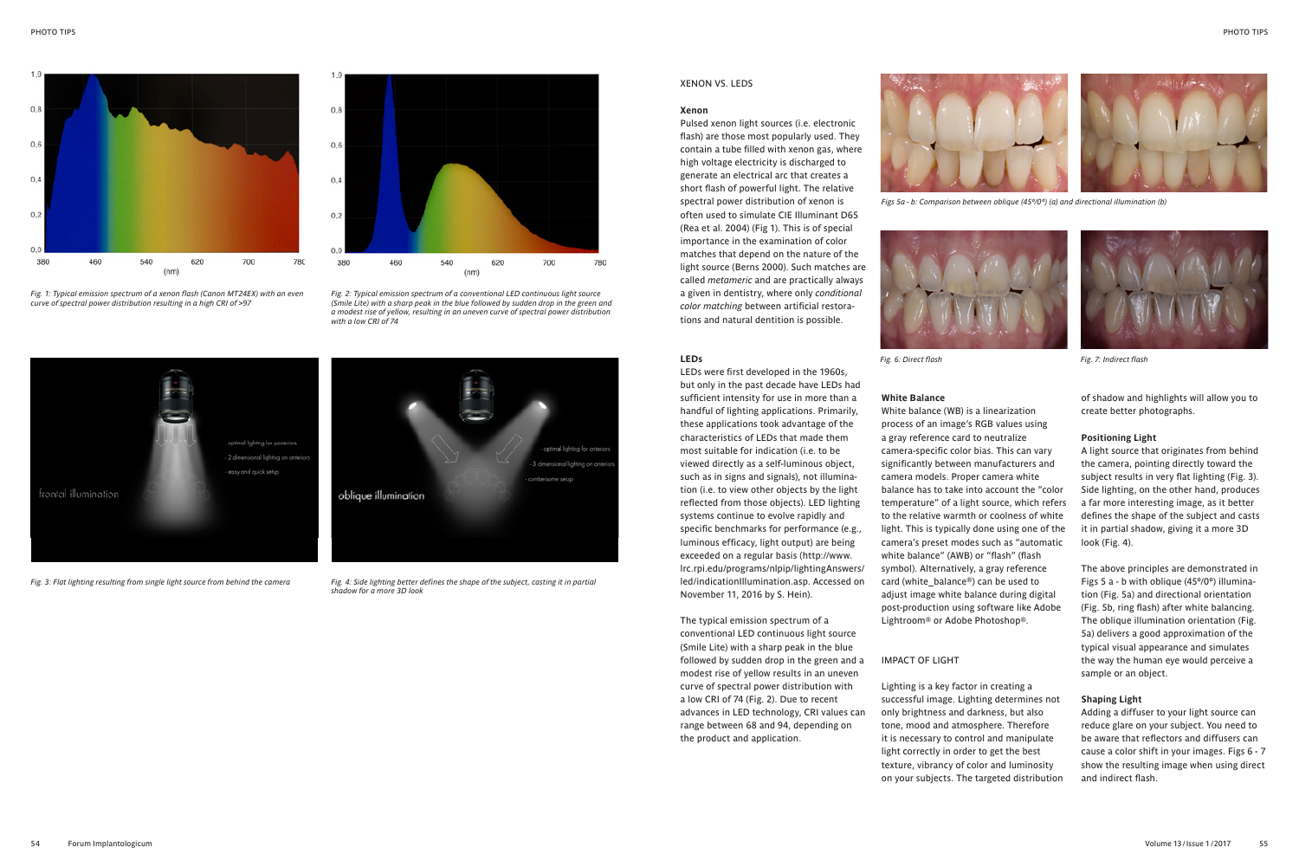*Fig. 2: Typical emission spectrum of a conventional LED continuous light source (Smile Lite) with a sharp peak in the blue followed by sudden drop in the green and a modest rise of yellow, resulting in an uneven curve of spectral power distribution with a low CRI of 74*



*Fig. 4: Side lighting better defines the shape of the subject, casting it in partial shadow for a more 3D look*

*Fig. 3: Flat lighting resulting from single light source from behind the camera*





*Figs 5a - b: Comparison between oblique (45º/0º) (a) and directional illumination (b)*



*Fig. 6: Direct flash Fig. 7: Indirect flash*



#### XENON VS. LEDS

#### **Xenon**

Pulsed xenon light sources (i.e. electronic flash) are those most popularly used. They contain a tube filled with xenon gas, where high voltage electricity is discharged to generate an electrical arc that creates a short flash of powerful light. The relative spectral power distribution of xenon is often used to simulate CIE Illuminant D65 (Rea et al. 2004) (Fig 1). This is of special importance in the examination of color matches that depend on the nature of the light source (Berns 2000). Such matches are called *metameric* and are practically always a given in dentistry, where only *conditional color matching* between artificial restorations and natural dentition is possible.



LEDs were first developed in the 1960s, but only in the past decade have LEDs had sufficient intensity for use in more than a handful of lighting applications. Primarily, these applications took advantage of the characteristics of LEDs that made them most suitable for indication (i.e. to be viewed directly as a self-luminous object, such as in signs and signals), not illumination (i.e. to view other objects by the light reflected from those objects). LED lighting systems continue to evolve rapidly and specific benchmarks for performance (e.g., luminous efficacy, light output) are being exceeded on a regular basis (http://www. lrc.rpi.edu/programs/nlpip/lightingAnswers/ led/indicationIllumination.asp. Accessed on November 11, 2016 by S. Hein).

The typical emission spectrum of a conventional LED continuous light source (Smile Lite) with a sharp peak in the blue followed by sudden drop in the green and a modest rise of yellow results in an uneven curve of spectral power distribution with a low CRI of 74 (Fig. 2). Due to recent advances in LED technology, CRI values can range between 68 and 94, depending on the product and application.



*Fig. 1: Typical emission spectrum of a xenon flash (Canon MT24EX) with an even* 

*curve of spectral power distribution resulting in a high CRI of >97*



#### **White Balance**

White balance (WB) is a linearization process of an image's RGB values using a gray reference card to neutralize camera-specific color bias. This can vary significantly between manufacturers and camera models. Proper camera white balance has to take into account the "color temperature" of a light source, which refers to the relative warmth or coolness of white light. This is typically done using one of the camera's preset modes such as "automatic white balance" (AWB) or "flash" (flash symbol). Alternatively, a gray reference card (white\_balance®) can be used to adjust image white balance during digital post-production using software like Adobe Lightroom® or Adobe Photoshop®.

#### IMPACT OF LIGHT

Lighting is a key factor in creating a successful image. Lighting determines not only brightness and darkness, but also tone, mood and atmosphere. Therefore it is necessary to control and manipulate light correctly in order to get the best texture, vibrancy of color and luminosity on your subjects. The targeted distribution of shadow and highlights will allow you to create better photographs.

#### **Positioning Light**

A light source that originates from behind the camera, pointing directly toward the subject results in very flat lighting (Fig. 3). Side lighting, on the other hand, produces a far more interesting image, as it better defines the shape of the subject and casts it in partial shadow, giving it a more 3D look (Fig. 4).

The above principles are demonstrated in Figs 5 a - b with oblique (45º/0º) illumination (Fig. 5a) and directional orientation (Fig. 5b, ring flash) after white balancing. The oblique illumination orientation (Fig. 5a) delivers a good approximation of the typical visual appearance and simulates the way the human eye would perceive a sample or an object.

#### **Shaping Light**

Adding a diffuser to your light source can reduce glare on your subject. You need to be aware that reflectors and diffusers can cause a color shift in your images. Figs 6 - 7 show the resulting image when using direct and indirect flash.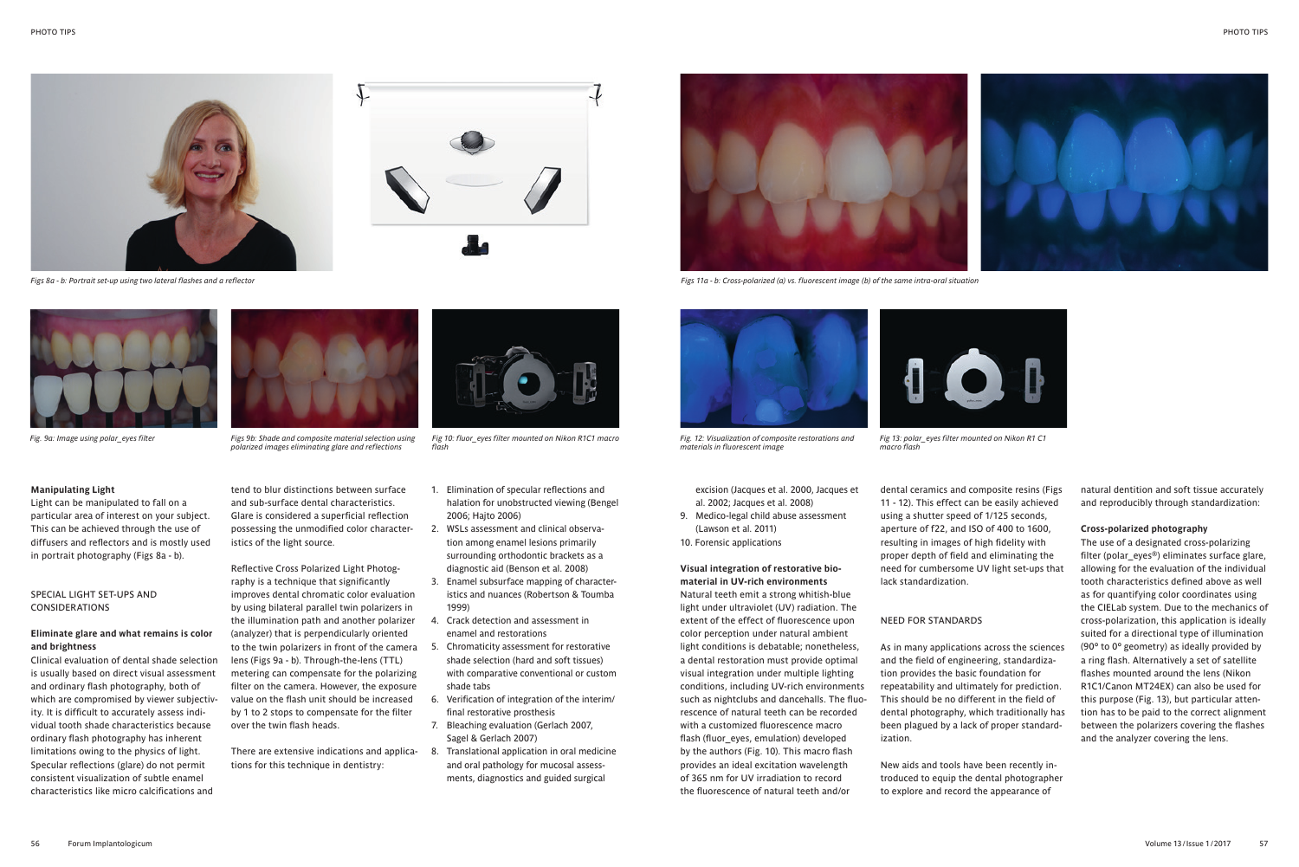

*Figs 8a - b: Portrait set-up using two lateral flashes and a reflector*



*Fig. 9a: Image using polar\_eyes filter*

*polarized images eliminating glare and reflections*

Reflective Cross Polarized Light Photography is a technique that significantly improves dental chromatic color evaluation by using bilateral parallel twin polarizers in the illumination path and another polarizer (analyzer) that is perpendicularly oriented to the twin polarizers in front of the camera lens (Figs 9a - b). Through-the-lens (TTL) metering can compensate for the polarizing filter on the camera. However, the exposure value on the flash unit should be increased by 1 to 2 stops to compensate for the filter over the twin flash heads.



*Figs 11a - b: Cross-polarized (a) vs. fluorescent image (b) of the same intra-oral situation*

*Fig 13: polar\_eyes filter mounted on Nikon R1 C1 macro flash*



*Fig. 12: Visualization of composite restorations and materials in fluorescent image*

Clinical evaluation of dental shade selection is usually based on direct visual assessment and ordinary flash photography, both of which are compromised by viewer subjectivity. It is difficult to accurately assess individual tooth shade characteristics because ordinary flash photography has inherent limitations owing to the physics of light. Specular reflections (glare) do not permit consistent visualization of subtle enamel characteristics like micro calcifications and

*Fig 10: fluor\_eyes filter mounted on Nikon R1C1 macro flash*

#### **Manipulating Light**

Light can be manipulated to fall on a particular area of interest on your subject. This can be achieved through the use of diffusers and reflectors and is mostly used in portrait photography (Figs 8a - b).

### SPECIAL LIGHT SET-UPS AND CONSIDERATIONS

#### **Eliminate glare and what remains is color and brightness**

tend to blur distinctions between surface and sub-surface dental characteristics. Glare is considered a superficial reflection possessing the unmodified color characteristics of the light source.

- 1. Elimination of specular reflections and halation for unobstructed viewing (Bengel 2006; Hajto 2006)
- 2. WSLs assessment and clinical observation among enamel lesions primarily surrounding orthodontic brackets as a diagnostic aid (Benson et al. 2008)
- 3. Enamel subsurface mapping of characteristics and nuances (Robertson & Toumba 1999)
- 4. Crack detection and assessment in enamel and restorations
- 5. Chromaticity assessment for restorative shade selection (hard and soft tissues) with comparative conventional or custom shade tabs
- 6. Verification of integration of the interim/ final restorative prosthesis
- 7. Bleaching evaluation (Gerlach 2007, Sagel & Gerlach 2007)
- 8. Translational application in oral medicine and oral pathology for mucosal assessments, diagnostics and guided surgical

**Visual integration of restorative biomaterial in UV-rich environments** Natural teeth emit a strong whitish-blue light under ultraviolet (UV) radiation. The extent of the effect of fluorescence upon color perception under natural ambient light conditions is debatable; nonetheless, a dental restoration must provide optimal visual integration under multiple lighting conditions, including UV-rich environments such as nightclubs and dancehalls. The fluorescence of natural teeth can be recorded with a customized fluorescence macro flash (fluor eyes, emulation) developed by the authors (Fig. 10). This macro flash provides an ideal excitation wavelength of 365 nm for UV irradiation to record the fluorescence of natural teeth and/or

There are extensive indications and applications for this technique in dentistry:

excision (Jacques et al. 2000, Jacques et al. 2002; Jacques et al. 2008)

9. Medico-legal child abuse assessment (Lawson et al. 2011) 10. Forensic applications

dental ceramics and composite resins (Figs 11 - 12). This effect can be easily achieved using a shutter speed of 1/125 seconds, aperture of f22, and ISO of 400 to 1600, resulting in images of high fidelity with proper depth of field and eliminating the need for cumbersome UV light set-ups that lack standardization.

#### NEED FOR STANDARDS

As in many applications across the sciences and the field of engineering, standardization provides the basic foundation for repeatability and ultimately for prediction. This should be no different in the field of dental photography, which traditionally has been plagued by a lack of proper standardization.

New aids and tools have been recently introduced to equip the dental photographer to explore and record the appearance of

natural dentition and soft tissue accurately and reproducibly through standardization:

#### **Cross-polarized photography**

The use of a designated cross-polarizing filter (polar eyes®) eliminates surface glare, allowing for the evaluation of the individual tooth characteristics defined above as well as for quantifying color coordinates using the CIELab system. Due to the mechanics of cross-polarization, this application is ideally suited for a directional type of illumination (90º to 0º geometry) as ideally provided by a ring flash. Alternatively a set of satellite flashes mounted around the lens (Nikon R1C1/Canon MT24EX) can also be used for this purpose (Fig. 13), but particular attention has to be paid to the correct alignment between the polarizers covering the flashes and the analyzer covering the lens.